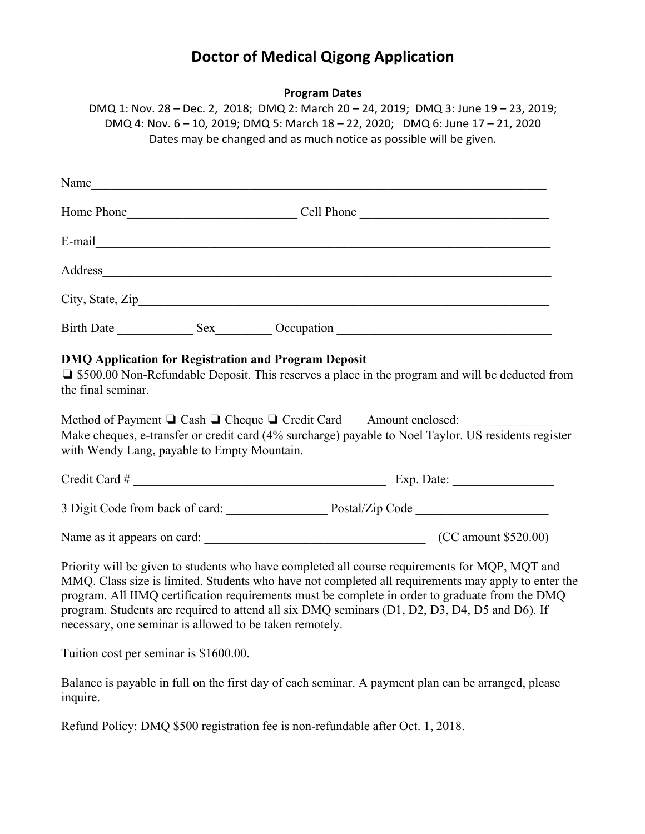## **Doctor of Medical Qigong Application**

**Program Dates** DMQ 1: Nov. 28 - Dec. 2, 2018; DMQ 2: March 20 - 24, 2019; DMQ 3: June 19 - 23, 2019; DMQ 4: Nov.  $6 - 10$ , 2019; DMQ 5: March  $18 - 22$ , 2020; DMQ 6: June  $17 - 21$ , 2020

Dates may be changed and as much notice as possible will be given.

|                                                                   |  |                                                                                         | $E-mail$ and $I$ and $I$ and $I$ and $I$ and $I$ and $I$ and $I$ and $I$ and $I$ and $I$ and $I$ and $I$ and $I$ and $I$ and $I$ and $I$ and $I$ and $I$ and $I$ and $I$ and $I$ and $I$ and $I$ and $I$ and $I$ and $I$ and $I$ |
|-------------------------------------------------------------------|--|-----------------------------------------------------------------------------------------|----------------------------------------------------------------------------------------------------------------------------------------------------------------------------------------------------------------------------------|
|                                                                   |  |                                                                                         |                                                                                                                                                                                                                                  |
|                                                                   |  |                                                                                         |                                                                                                                                                                                                                                  |
|                                                                   |  |                                                                                         |                                                                                                                                                                                                                                  |
| the final seminar.<br>with Wendy Lang, payable to Empty Mountain. |  | Method of Payment $\Box$ Cash $\Box$ Cheque $\Box$ Credit Card Amount enclosed: _______ | $\Box$ \$500.00 Non-Refundable Deposit. This reserves a place in the program and will be deducted from<br>Make cheques, e-transfer or credit card (4% surcharge) payable to Noel Taylor. US residents register                   |
|                                                                   |  |                                                                                         |                                                                                                                                                                                                                                  |
|                                                                   |  |                                                                                         |                                                                                                                                                                                                                                  |
|                                                                   |  |                                                                                         |                                                                                                                                                                                                                                  |
|                                                                   |  |                                                                                         | Priority will be given to students who have completed all course requirements for MQP, MQT and<br>MMO. Class size is limited. Students who have not completed all requirements may apply to enter the                            |

MMQ. Class size is limited. Students who have not completed all requirements may apply to enter the program. All IIMQ certification requirements must be complete in order to graduate from the DMQ program. Students are required to attend all six DMQ seminars (D1, D2, D3, D4, D5 and D6). If necessary, one seminar is allowed to be taken remotely.

Tuition cost per seminar is \$1600.00.

Balance is payable in full on the first day of each seminar. A payment plan can be arranged, please inquire.

Refund Policy: DMQ \$500 registration fee is non-refundable after Oct. 1, 2018.